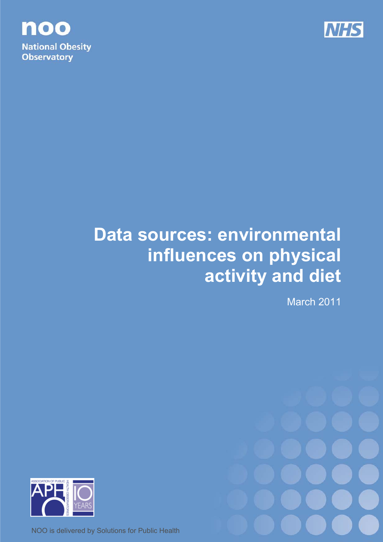

noo **National Obesity Observatory** 

# **Data sources: environmental influences on physical activity and diet**

March 2011



NOO is delivered by Solutions for Public Health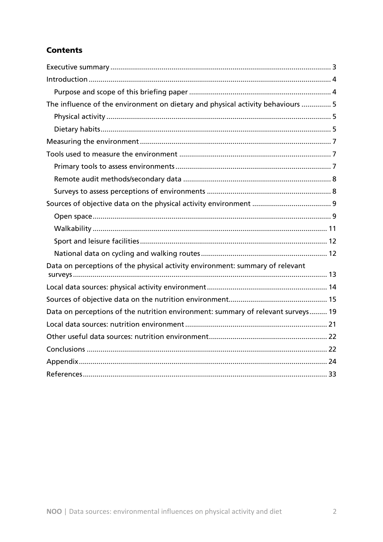# **Contents**

| The influence of the environment on dietary and physical activity behaviours  5  |
|----------------------------------------------------------------------------------|
|                                                                                  |
|                                                                                  |
|                                                                                  |
|                                                                                  |
|                                                                                  |
|                                                                                  |
|                                                                                  |
|                                                                                  |
|                                                                                  |
|                                                                                  |
|                                                                                  |
|                                                                                  |
| Data on perceptions of the physical activity environment: summary of relevant    |
|                                                                                  |
|                                                                                  |
|                                                                                  |
|                                                                                  |
| Data on perceptions of the nutrition environment: summary of relevant surveys 19 |
|                                                                                  |
|                                                                                  |
|                                                                                  |
|                                                                                  |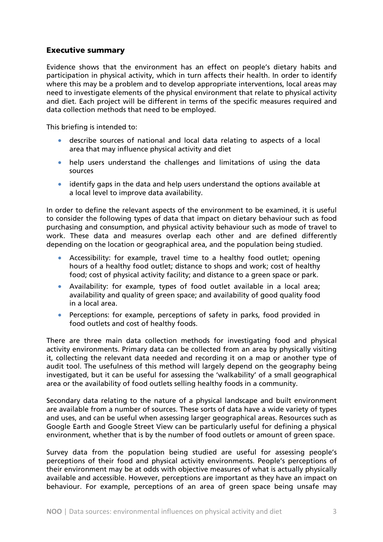# Executive summary

Evidence shows that the environment has an effect on people's dietary habits and participation in physical activity, which in turn affects their health. In order to identify where this may be a problem and to develop appropriate interventions, local areas may need to investigate elements of the physical environment that relate to physical activity and diet. Each project will be different in terms of the specific measures required and data collection methods that need to be employed.

This briefing is intended to:

- describe sources of national and local data relating to aspects of a local area that may influence physical activity and diet
- help users understand the challenges and limitations of using the data sources
- identify gaps in the data and help users understand the options available at a local level to improve data availability.

In order to define the relevant aspects of the environment to be examined, it is useful to consider the following types of data that impact on dietary behaviour such as food purchasing and consumption, and physical activity behaviour such as mode of travel to work. These data and measures overlap each other and are defined differently depending on the location or geographical area, and the population being studied.

- Accessibility: for example, travel time to a healthy food outlet; opening hours of a healthy food outlet; distance to shops and work; cost of healthy food; cost of physical activity facility; and distance to a green space or park.
- Availability: for example, types of food outlet available in a local area; availability and quality of green space; and availability of good quality food in a local area.
- Perceptions: for example, perceptions of safety in parks, food provided in food outlets and cost of healthy foods.

There are three main data collection methods for investigating food and physical activity environments. Primary data can be collected from an area by physically visiting it, collecting the relevant data needed and recording it on a map or another type of audit tool. The usefulness of this method will largely depend on the geography being investigated, but it can be useful for assessing the 'walkability' of a small geographical area or the availability of food outlets selling healthy foods in a community.

Secondary data relating to the nature of a physical landscape and built environment are available from a number of sources. These sorts of data have a wide variety of types and uses, and can be useful when assessing larger geographical areas. Resources such as Google Earth and Google Street View can be particularly useful for defining a physical environment, whether that is by the number of food outlets or amount of green space.

Survey data from the population being studied are useful for assessing people's perceptions of their food and physical activity environments. People's perceptions of their environment may be at odds with objective measures of what is actually physically available and accessible. However, perceptions are important as they have an impact on behaviour. For example, perceptions of an area of green space being unsafe may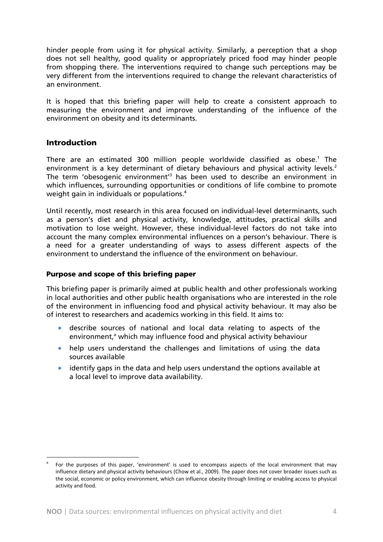hinder people from using it for physical activity. Similarly, a perception that a shop does not sell healthy, good quality or appropriately priced food may hinder people from shopping there. The interventions required to change such perceptions may be very different from the interventions required to change the relevant characteristics of an environment.

It is hoped that this briefing paper will help to create a consistent approach to measuring the environment and improve understanding of the influence of the environment on obesity and its determinants.

# Introduction

 $\overline{a}$ 

There are an estimated 300 million people worldwide classified as obese.<sup>1</sup> The environment is a key determinant of dietary behaviours and physical activity levels.<sup>2</sup> The term 'obesogenic environment<sup>'3</sup> has been used to describe an environment in which influences, surrounding opportunities or conditions of life combine to promote weight gain in individuals or populations.<sup>4</sup>

Until recently, most research in this area focused on individual-level determinants, such as a person's diet and physical activity, knowledge, attitudes, practical skills and motivation to lose weight. However, these individual-level factors do not take into account the many complex environmental influences on a person's behaviour. There is a need for a greater understanding of ways to assess different aspects of the environment to understand the influence of the environment on behaviour.

#### Purpose and scope of this briefing paper

This briefing paper is primarily aimed at public health and other professionals working in local authorities and other public health organisations who are interested in the role of the environment in influencing food and physical activity behaviour. It may also be of interest to researchers and academics working in this field. It aims to:

- describe sources of national and local data relating to aspects of the environment,<sup>a</sup> which may influence food and physical activity behaviour
- help users understand the challenges and limitations of using the data sources available
- identify gaps in the data and help users understand the options available at a local level to improve data availability.

a For the purposes of this paper, 'environment' is used to encompass aspects of the local environment that may influence dietary and physical activity behaviours (Chow et al., 2009). The paper does not cover broader issues such as the social, economic or policy environment, which can influence obesity through limiting or enabling access to physical activity and food.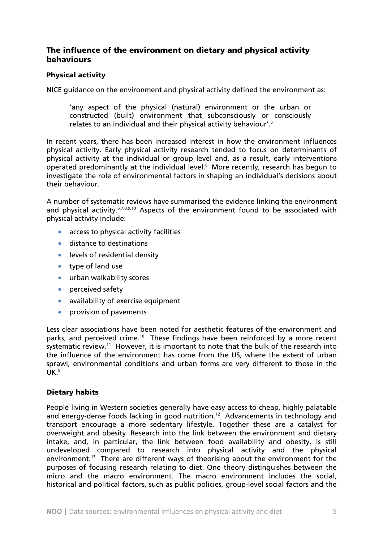# The influence of the environment on dietary and physical activity behaviours

#### Physical activity

NICE guidance on the environment and physical activity defined the environment as:

'any aspect of the physical (natural) environment or the urban or constructed (built) environment that subconsciously or consciously relates to an individual and their physical activity behaviour'.5

In recent years, there has been increased interest in how the environment influences physical activity. Early physical activity research tended to focus on determinants of physical activity at the individual or group level and, as a result, early interventions operated predominantly at the individual level.6 More recently, research has begun to investigate the role of environmental factors in shaping an individual's decisions about their behaviour.

A number of systematic reviews have summarised the evidence linking the environment and physical activity.<sup>6,7,8,9,10</sup> Aspects of the environment found to be associated with physical activity include:

- access to physical activity facilities
- distance to destinations
- levels of residential density
- type of land use
- urban walkability scores
- perceived safety
- availability of exercise equipment
- provision of pavements

Less clear associations have been noted for aesthetic features of the environment and parks, and perceived crime.10 These findings have been reinforced by a more recent systematic review.<sup>11</sup> However, it is important to note that the bulk of the research into the influence of the environment has come from the US, where the extent of urban sprawl, environmental conditions and urban forms are very different to those in the  $\mathsf{UK}.^\mathsf{8}$ 

#### Dietary habits

People living in Western societies generally have easy access to cheap, highly palatable and energy-dense foods lacking in good nutrition.<sup>12</sup> Advancements in technology and transport encourage a more sedentary lifestyle. Together these are a catalyst for overweight and obesity. Research into the link between the environment and dietary intake, and, in particular, the link between food availability and obesity, is still undeveloped compared to research into physical activity and the physical environment.<sup>13</sup> There are different ways of theorising about the environment for the purposes of focusing research relating to diet. One theory distinguishes between the micro and the macro environment. The macro environment includes the social, historical and political factors, such as public policies, group-level social factors and the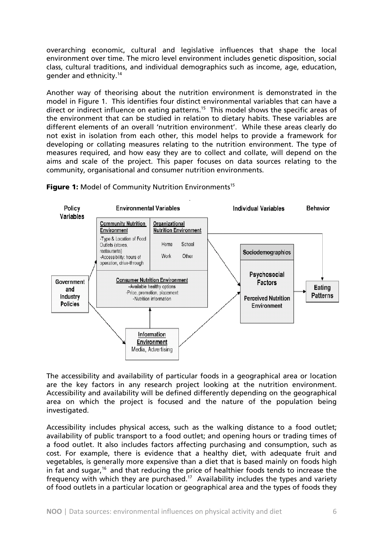overarching economic, cultural and legislative influences that shape the local environment over time. The micro level environment includes genetic disposition, social class, cultural traditions, and individual demographics such as income, age, education, gender and ethnicity.14

Another way of theorising about the nutrition environment is demonstrated in the model in Figure 1. This identifies four distinct environmental variables that can have a direct or indirect influence on eating patterns.<sup>15</sup> This model shows the specific areas of the environment that can be studied in relation to dietary habits. These variables are different elements of an overall 'nutrition environment'. While these areas clearly do not exist in isolation from each other, this model helps to provide a framework for developing or collating measures relating to the nutrition environment. The type of measures required, and how easy they are to collect and collate, will depend on the aims and scale of the project. This paper focuses on data sources relating to the community, organisational and consumer nutrition environments.



Figure 1: Model of Community Nutrition Environments<sup>15</sup>

The accessibility and availability of particular foods in a geographical area or location are the key factors in any research project looking at the nutrition environment. Accessibility and availability will be defined differently depending on the geographical area on which the project is focused and the nature of the population being investigated.

Accessibility includes physical access, such as the walking distance to a food outlet; availability of public transport to a food outlet; and opening hours or trading times of a food outlet. It also includes factors affecting purchasing and consumption, such as cost. For example, there is evidence that a healthy diet, with adequate fruit and vegetables, is generally more expensive than a diet that is based mainly on foods high in fat and sugar,<sup>16</sup> and that reducing the price of healthier foods tends to increase the frequency with which they are purchased.<sup>17</sup> Availability includes the types and variety of food outlets in a particular location or geographical area and the types of foods they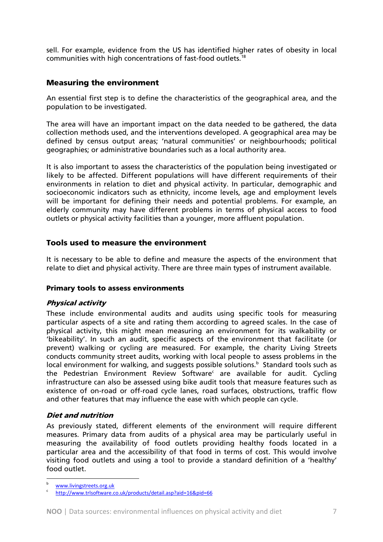sell. For example, evidence from the US has identified higher rates of obesity in local communities with high concentrations of fast-food outlets.18

# Measuring the environment

An essential first step is to define the characteristics of the geographical area, and the population to be investigated.

The area will have an important impact on the data needed to be gathered, the data collection methods used, and the interventions developed. A geographical area may be defined by census output areas; 'natural communities' or neighbourhoods; political geographies; or administrative boundaries such as a local authority area.

It is also important to assess the characteristics of the population being investigated or likely to be affected. Different populations will have different requirements of their environments in relation to diet and physical activity. In particular, demographic and socioeconomic indicators such as ethnicity, income levels, age and employment levels will be important for defining their needs and potential problems. For example, an elderly community may have different problems in terms of physical access to food outlets or physical activity facilities than a younger, more affluent population.

# Tools used to measure the environment

It is necessary to be able to define and measure the aspects of the environment that relate to diet and physical activity. There are three main types of instrument available.

#### Primary tools to assess environments

# Physical activity

These include environmental audits and audits using specific tools for measuring particular aspects of a site and rating them according to agreed scales. In the case of physical activity, this might mean measuring an environment for its walkability or 'bikeability'. In such an audit, specific aspects of the environment that facilitate (or prevent) walking or cycling are measured. For example, the charity Living Streets conducts community street audits, working with local people to assess problems in the local environment for walking, and suggests possible solutions.<sup>b</sup> Standard tools such as the Pedestrian Environment Review Software<sup>c</sup> are available for audit. Cycling infrastructure can also be assessed using bike audit tools that measure features such as existence of on-road or off-road cycle lanes, road surfaces, obstructions, traffic flow and other features that may influence the ease with which people can cycle.

# Diet and nutrition

As previously stated, different elements of the environment will require different measures. Primary data from audits of a physical area may be particularly useful in measuring the availability of food outlets providing healthy foods located in a particular area and the accessibility of that food in terms of cost. This would involve visiting food outlets and using a tool to provide a standard definition of a 'healthy' food outlet.

 $\overline{a}$ b

www.livingstreets.org.uk<br>http://www.trlsoftware.co.uk/products/detail.asp?aid=16&pid=66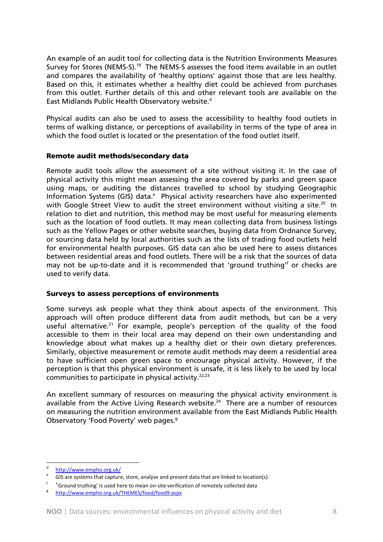An example of an audit tool for collecting data is the Nutrition Environments Measures Survey for Stores (NEMS-S).<sup>19</sup> The NEMS-S assesses the food items available in an outlet and compares the availability of 'healthy options' against those that are less healthy. Based on this, it estimates whether a healthy diet could be achieved from purchases from this outlet. Further details of this and other relevant tools are available on the East Midlands Public Health Observatory website.<sup>d</sup>

Physical audits can also be used to assess the accessibility to healthy food outlets in terms of walking distance, or perceptions of availability in terms of the type of area in which the food outlet is located or the presentation of the food outlet itself.

#### Remote audit methods/secondary data

Remote audit tools allow the assessment of a site without visiting it. In the case of physical activity this might mean assessing the area covered by parks and green space using maps, or auditing the distances travelled to school by studying Geographic Information Systems (GIS) data.<sup>e</sup> Physical activity researchers have also experimented with Google Street View to audit the street environment without visiting a site.<sup>20</sup> In relation to diet and nutrition, this method may be most useful for measuring elements such as the location of food outlets. It may mean collecting data from business listings such as the Yellow Pages or other website searches, buying data from Ordnance Survey, or sourcing data held by local authorities such as the lists of trading food outlets held for environmental health purposes. GIS data can also be used here to assess distances between residential areas and food outlets. There will be a risk that the sources of data may not be up-to-date and it is recommended that 'ground truthing'<sup>f</sup> or checks are used to verify data.

#### Surveys to assess perceptions of environments

Some surveys ask people what they think about aspects of the environment. This approach will often produce different data from audit methods, but can be a very useful alternative.<sup>21</sup> For example, people's perception of the quality of the food accessible to them in their local area may depend on their own understanding and knowledge about what makes up a healthy diet or their own dietary preferences. Similarly, objective measurement or remote audit methods may deem a residential area to have sufficient open green space to encourage physical activity. However, if the perception is that this physical environment is unsafe, it is less likely to be used by local communities to participate in physical activity. $22,23$ 

An excellent summary of resources on measuring the physical activity environment is available from the Active Living Research website.<sup>24</sup> There are a number of resources on measuring the nutrition environment available from the East Midlands Public Health Observatory 'Food Poverty' web pages.<sup>9</sup>

http://www.empho.org.uk/

GIS are systems that capture, store, analyse and present data that are linked to location(s).

f 'Ground truthing' is used here to mean on-site verification of remotely collected data http://www.empho.org.uk/THEMES/food/food9.aspx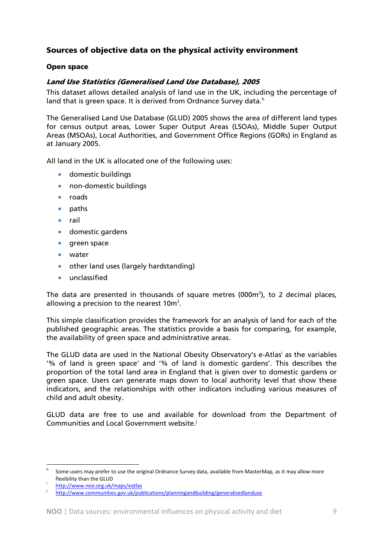# Sources of objective data on the physical activity environment

#### Open space

#### Land Use Statistics (Generalised Land Use Database), 2005

This dataset allows detailed analysis of land use in the UK, including the percentage of land that is green space. It is derived from Ordnance Survey data.<sup>h</sup>

The Generalised Land Use Database (GLUD) 2005 shows the area of different land types for census output areas, Lower Super Output Areas (LSOAs), Middle Super Output Areas (MSOAs), Local Authorities, and Government Office Regions (GORs) in England as at January 2005.

All land in the UK is allocated one of the following uses:

- domestic buildings
- non-domestic buildings
- roads
- paths
- rail
- domestic gardens
- green space
- water
- other land uses (largely hardstanding)
- unclassified

The data are presented in thousands of square metres (000 $m<sup>2</sup>$ ), to 2 decimal places, allowing a precision to the nearest  $10m^2$ .

This simple classification provides the framework for an analysis of land for each of the published geographic areas. The statistics provide a basis for comparing, for example, the availability of green space and administrative areas.

The GLUD data are used in the National Obesity Observatory's e-Atlas<sup>i</sup> as the variables '% of land is green space' and '% of land is domestic gardens'. This describes the proportion of the total land area in England that is given over to domestic gardens or green space. Users can generate maps down to local authority level that show these indicators, and the relationships with other indicators including various measures of child and adult obesity.

GLUD data are free to use and available for download from the Department of Communities and Local Government website.<sup>j</sup>

Some users may prefer to use the original Ordnance Survey data, available from MasterMap, as it may allow more flexibility than the GLUD<br>http://www.noo.org.uk/maps/eatlas

j http://www.communities.gov.uk/publications/planningandbuilding/generalisedlanduse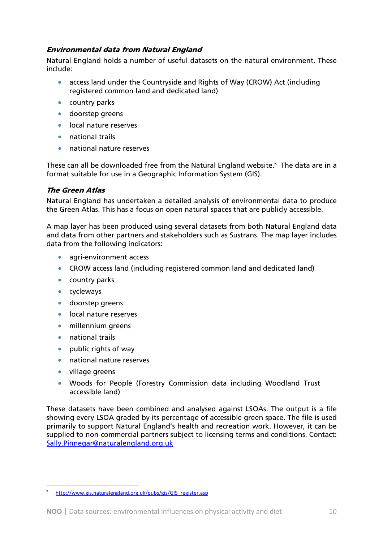# Environmental data from Natural England

Natural England holds a number of useful datasets on the natural environment. These include:

- access land under the Countryside and Rights of Way (CROW) Act (including registered common land and dedicated land)
- country parks
- doorstep greens
- local nature reserves
- national trails
- national nature reserves

These can all be downloaded free from the Natural England website.<sup>k</sup> The data are in a format suitable for use in a Geographic Information System (GIS).

# The Green Atlas

Natural England has undertaken a detailed analysis of environmental data to produce the Green Atlas. This has a focus on open natural spaces that are publicly accessible.

A map layer has been produced using several datasets from both Natural England data and data from other partners and stakeholders such as Sustrans. The map layer includes data from the following indicators:

- agri-environment access
- CROW access land (including registered common land and dedicated land)
- country parks
- cycleways
- doorstep greens
- local nature reserves
- millennium greens
- national trails
- public rights of way
- national nature reserves
- village greens

 $\overline{a}$ 

• Woods for People (Forestry Commission data including Woodland Trust accessible land)

These datasets have been combined and analysed against LSOAs. The output is a file showing every LSOA graded by its percentage of accessible green space. The file is used primarily to support Natural England's health and recreation work. However, it can be supplied to non-commercial partners subject to licensing terms and conditions. Contact: Sally.Pinnegar@naturalengland.org.uk

k http://www.gis.naturalengland.org.uk/pubs/gis/GIS\_register.asp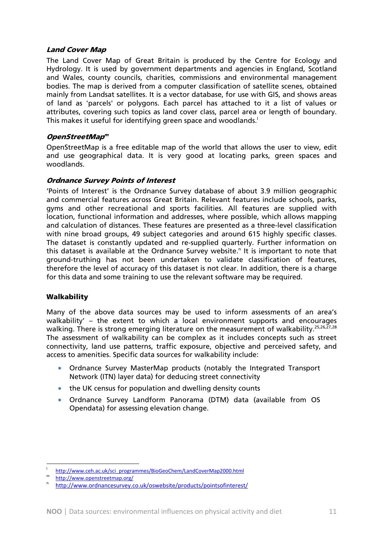#### Land Cover Map

The Land Cover Map of Great Britain is produced by the Centre for Ecology and Hydrology. It is used by government departments and agencies in England, Scotland and Wales, county councils, charities, commissions and environmental management bodies. The map is derived from a computer classification of satellite scenes, obtained mainly from Landsat satellites. It is a vector database, for use with GIS, and shows areas of land as 'parcels' or polygons. Each parcel has attached to it a list of values or attributes, covering such topics as land cover class, parcel area or length of boundary. This makes it useful for identifying green space and woodlands.<sup>1</sup>

#### OpenStreetMap<sup>m</sup>

OpenStreetMap is a free editable map of the world that allows the user to view, edit and use geographical data. It is very good at locating parks, green spaces and woodlands.

#### Ordnance Survey Points of Interest

'Points of Interest' is the Ordnance Survey database of about 3.9 million geographic and commercial features across Great Britain. Relevant features include schools, parks, gyms and other recreational and sports facilities. All features are supplied with location, functional information and addresses, where possible, which allows mapping and calculation of distances. These features are presented as a three-level classification with nine broad groups, 49 subject categories and around 615 highly specific classes. The dataset is constantly updated and re-supplied quarterly. Further information on this dataset is available at the Ordnance Survey website.<sup>n</sup> It is important to note that ground-truthing has not been undertaken to validate classification of features, therefore the level of accuracy of this dataset is not clear. In addition, there is a charge for this data and some training to use the relevant software may be required.

#### **Walkability**

Many of the above data sources may be used to inform assessments of an area's walkability' – the extent to which a local environment supports and encourages walking. There is strong emerging literature on the measurement of walkability.<sup>25,26,27,28</sup> The assessment of walkability can be complex as it includes concepts such as street connectivity, land use patterns, traffic exposure, objective and perceived safety, and access to amenities. Specific data sources for walkability include:

- Ordnance Survey MasterMap products (notably the Integrated Transport Network (ITN) layer data) for deducing street connectivity
- the UK census for population and dwelling density counts
- Ordnance Survey Landform Panorama (DTM) data (available from OS Opendata) for assessing elevation change.

 $\frac{1}{m}$ http://www.ceh.ac.uk/sci\_programmes/BioGeoChem/LandCoverMap2000.html<br>http://www.openstreetmap.org/

http://www.ordnancesurvey.co.uk/oswebsite/products/pointsofinterest/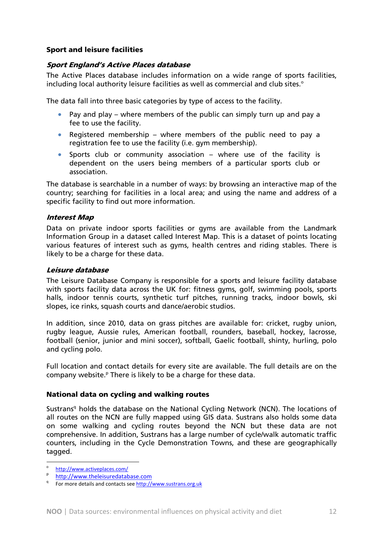#### Sport and leisure facilities

#### Sport England's Active Places database

The Active Places database includes information on a wide range of sports facilities, including local authority leisure facilities as well as commercial and club sites. $\circ$ 

The data fall into three basic categories by type of access to the facility.

- Pay and play where members of the public can simply turn up and pay a fee to use the facility.
- Registered membership where members of the public need to pay a registration fee to use the facility (i.e. gym membership).
- Sports club or community association where use of the facility is dependent on the users being members of a particular sports club or association.

The database is searchable in a number of ways: by browsing an interactive map of the country; searching for facilities in a local area; and using the name and address of a specific facility to find out more information.

#### Interest Map

Data on private indoor sports facilities or gyms are available from the Landmark Information Group in a dataset called Interest Map. This is a dataset of points locating various features of interest such as gyms, health centres and riding stables. There is likely to be a charge for these data.

#### Leisure database

The Leisure Database Company is responsible for a sports and leisure facility database with sports facility data across the UK for: fitness gyms, golf, swimming pools, sports halls, indoor tennis courts, synthetic turf pitches, running tracks, indoor bowls, ski slopes, ice rinks, squash courts and dance/aerobic studios.

In addition, since 2010, data on grass pitches are available for: cricket, rugby union, rugby league, Aussie rules, American football, rounders, baseball, hockey, lacrosse, football (senior, junior and mini soccer), softball, Gaelic football, shinty, hurling, polo and cycling polo.

Full location and contact details for every site are available. The full details are on the company website.<sup>P</sup> There is likely to be a charge for these data.

#### National data on cycling and walking routes

Sustrans<sup>q</sup> holds the database on the National Cycling Network (NCN). The locations of all routes on the NCN are fully mapped using GIS data. Sustrans also holds some data on some walking and cycling routes beyond the NCN but these data are not comprehensive. In addition, Sustrans has a large number of cycle/walk automatic traffic counters, including in the Cycle Demonstration Towns, and these are geographically tagged.

o

 $\frac{\text{http://www.activeplaces.com/}}{\text{http://www.theleisuredatabase.com}}$ 

<sup>&</sup>lt;sup>P</sup> http://www.theleisuredatabase.com<br><sup>q</sup> For more details and contacts see <u>http://www.sustrans.org.uk</u>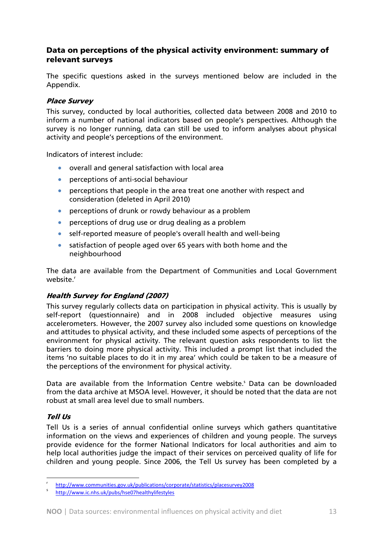# Data on perceptions of the physical activity environment: summary of relevant surveys

The specific questions asked in the surveys mentioned below are included in the Appendix.

#### Place Survey

This survey, conducted by local authorities, collected data between 2008 and 2010 to inform a number of national indicators based on people's perspectives. Although the survey is no longer running, data can still be used to inform analyses about physical activity and people's perceptions of the environment.

Indicators of interest include:

- overall and general satisfaction with local area
- perceptions of anti-social behaviour
- perceptions that people in the area treat one another with respect and consideration (deleted in April 2010)
- perceptions of drunk or rowdy behaviour as a problem
- perceptions of drug use or drug dealing as a problem
- self-reported measure of people's overall health and well-being
- satisfaction of people aged over 65 years with both home and the neighbourhood

The data are available from the Department of Communities and Local Government website<sup>r</sup>

# Health Survey for England (2007)

This survey regularly collects data on participation in physical activity. This is usually by self-report (questionnaire) and in 2008 included objective measures using accelerometers. However, the 2007 survey also included some questions on knowledge and attitudes to physical activity, and these included some aspects of perceptions of the environment for physical activity. The relevant question asks respondents to list the barriers to doing more physical activity. This included a prompt list that included the items 'no suitable places to do it in my area' which could be taken to be a measure of the perceptions of the environment for physical activity.

Data are available from the Information Centre website.<sup>5</sup> Data can be downloaded from the data archive at MSOA level. However, it should be noted that the data are not robust at small area level due to small numbers.

# Tell Us

 $\overline{a}$ 

Tell Us is a series of annual confidential online surveys which gathers quantitative information on the views and experiences of children and young people. The surveys provide evidence for the former National Indicators for local authorities and aim to help local authorities judge the impact of their services on perceived quality of life for children and young people. Since 2006, the Tell Us survey has been completed by a

r http://www.communities.gov.uk/publications/corporate/statistics/placesurvey2008

http://www.ic.nhs.uk/pubs/hse07healthylifestyles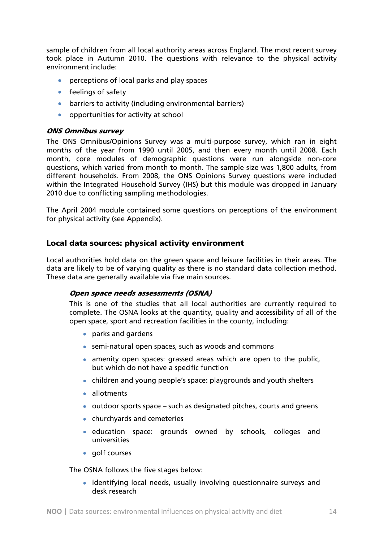sample of children from all local authority areas across England. The most recent survey took place in Autumn 2010. The questions with relevance to the physical activity environment include:

- perceptions of local parks and play spaces
- feelings of safety
- barriers to activity (including environmental barriers)
- opportunities for activity at school

#### ONS Omnibus survey

The ONS Omnibus/Opinions Survey was a multi-purpose survey, which ran in eight months of the year from 1990 until 2005, and then every month until 2008. Each month, core modules of demographic questions were run alongside non-core questions, which varied from month to month. The sample size was 1,800 adults, from different households. From 2008, the ONS Opinions Survey questions were included within the Integrated Household Survey (IHS) but this module was dropped in January 2010 due to conflicting sampling methodologies.

The April 2004 module contained some questions on perceptions of the environment for physical activity (see Appendix).

# Local data sources: physical activity environment

Local authorities hold data on the green space and leisure facilities in their areas. The data are likely to be of varying quality as there is no standard data collection method. These data are generally available via five main sources.

#### Open space needs assessments (OSNA)

This is one of the studies that all local authorities are currently required to complete. The OSNA looks at the quantity, quality and accessibility of all of the open space, sport and recreation facilities in the county, including:

- parks and gardens
- semi-natural open spaces, such as woods and commons
- amenity open spaces: grassed areas which are open to the public, but which do not have a specific function
- children and young people's space: playgrounds and youth shelters
- allotments
- outdoor sports space such as designated pitches, courts and greens
- churchyards and cemeteries
- education space: grounds owned by schools, colleges and universities
- golf courses

The OSNA follows the five stages below:

• identifying local needs, usually involving questionnaire surveys and desk research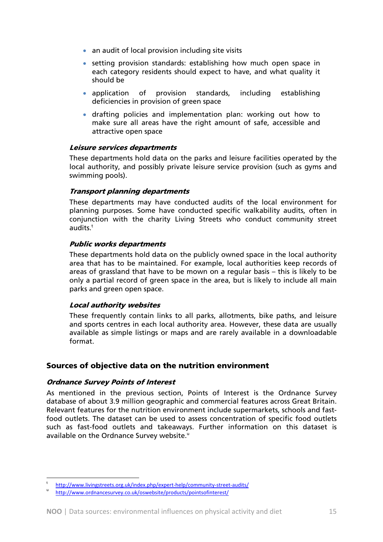- an audit of local provision including site visits
- setting provision standards: establishing how much open space in each category residents should expect to have, and what quality it should be
- application of provision standards, including establishing deficiencies in provision of green space
- drafting policies and implementation plan: working out how to make sure all areas have the right amount of safe, accessible and attractive open space

#### Leisure services departments

These departments hold data on the parks and leisure facilities operated by the local authority, and possibly private leisure service provision (such as gyms and swimming pools).

#### Transport planning departments

These departments may have conducted audits of the local environment for planning purposes. Some have conducted specific walkability audits, often in conjunction with the charity Living Streets who conduct community street audits. $<sup>t</sup>$ </sup>

#### Public works departments

These departments hold data on the publicly owned space in the local authority area that has to be maintained. For example, local authorities keep records of areas of grassland that have to be mown on a regular basis – this is likely to be only a partial record of green space in the area, but is likely to include all main parks and green open space.

#### Local authority websites

These frequently contain links to all parks, allotments, bike paths, and leisure and sports centres in each local authority area. However, these data are usually available as simple listings or maps and are rarely available in a downloadable format.

# Sources of objective data on the nutrition environment

#### Ordnance Survey Points of Interest

 $\overline{a}$ 

As mentioned in the previous section, Points of Interest is the Ordnance Survey database of about 3.9 million geographic and commercial features across Great Britain. Relevant features for the nutrition environment include supermarkets, schools and fastfood outlets. The dataset can be used to assess concentration of specific food outlets such as fast-food outlets and takeaways. Further information on this dataset is available on the Ordnance Survey website.<sup>u</sup>

t http://www.livingstreets.org.uk/index.php/expert-help/community-street-audits/

http://www.ordnancesurvey.co.uk/oswebsite/products/pointsofinterest/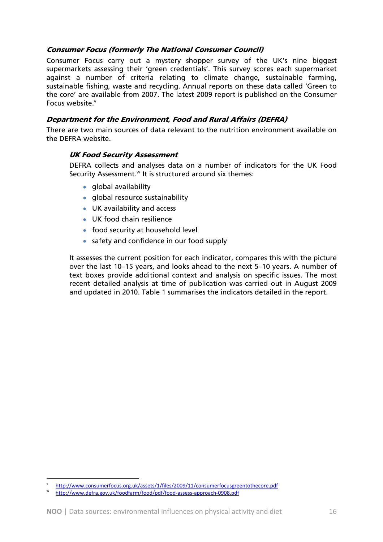# Consumer Focus (formerly The National Consumer Council)

Consumer Focus carry out a mystery shopper survey of the UK's nine biggest supermarkets assessing their 'green credentials'. This survey scores each supermarket against a number of criteria relating to climate change, sustainable farming, sustainable fishing, waste and recycling. Annual reports on these data called 'Green to the core' are available from 2007. The latest 2009 report is published on the Consumer Focus website.<sup>v</sup>

# Department for the Environment, Food and Rural Affairs (DEFRA)

There are two main sources of data relevant to the nutrition environment available on the DEFRA website.

#### UK Food Security Assessment

DEFRA collects and analyses data on a number of indicators for the UK Food Security Assessment.<sup>w</sup> It is structured around six themes:

- global availability
- global resource sustainability
- UK availability and access
- UK food chain resilience
- food security at household level
- safety and confidence in our food supply

It assesses the current position for each indicator, compares this with the picture over the last 10–15 years, and looks ahead to the next 5–10 years. A number of text boxes provide additional context and analysis on specific issues. The most recent detailed analysis at time of publication was carried out in August 2009 and updated in 2010. Table 1 summarises the indicators detailed in the report.

http://www.consumerfocus.org.uk/assets/1/files/2009/11/consumerfocusgreentothecore.pdf

http://www.defra.gov.uk/foodfarm/food/pdf/food‐assess‐approach‐0908.pdf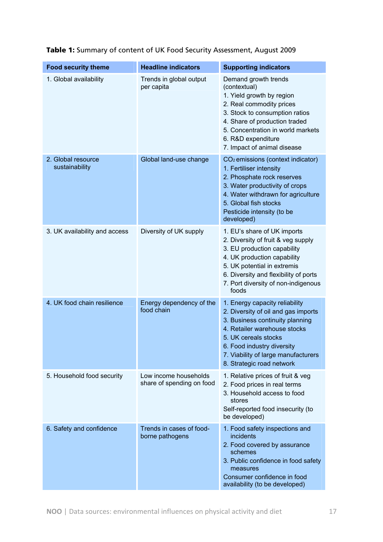| <b>Food security theme</b>           | <b>Headline indicators</b>                         | <b>Supporting indicators</b>                                                                                                                                                                                                                                       |
|--------------------------------------|----------------------------------------------------|--------------------------------------------------------------------------------------------------------------------------------------------------------------------------------------------------------------------------------------------------------------------|
| 1. Global availability               | Trends in global output<br>per capita              | Demand growth trends<br>(contextual)<br>1. Yield growth by region<br>2. Real commodity prices<br>3. Stock to consumption ratios<br>4. Share of production traded<br>5. Concentration in world markets<br>6. R&D expenditure<br>7. Impact of animal disease         |
| 2. Global resource<br>sustainability | Global land-use change                             | CO <sub>2</sub> emissions (context indicator)<br>1. Fertiliser intensity<br>2. Phosphate rock reserves<br>3. Water productivity of crops<br>4. Water withdrawn for agriculture<br>5. Global fish stocks<br>Pesticide intensity (to be<br>developed)                |
| 3. UK availability and access        | Diversity of UK supply                             | 1. EU's share of UK imports<br>2. Diversity of fruit & veg supply<br>3. EU production capability<br>4. UK production capability<br>5. UK potential in extremis<br>6. Diversity and flexibility of ports<br>7. Port diversity of non-indigenous<br>foods            |
| 4. UK food chain resilience          | Energy dependency of the<br>food chain             | 1. Energy capacity reliability<br>2. Diversity of oil and gas imports<br>3. Business continuity planning<br>4. Retailer warehouse stocks<br>5. UK cereals stocks<br>6. Food industry diversity<br>7. Viability of large manufacturers<br>8. Strategic road network |
| 5. Household food security           | Low income households<br>share of spending on food | 1. Relative prices of fruit & veg<br>2. Food prices in real terms<br>3. Household access to food<br>stores<br>Self-reported food insecurity (to<br>be developed)                                                                                                   |
| 6. Safety and confidence             | Trends in cases of food-<br>borne pathogens        | 1. Food safety inspections and<br>incidents<br>2. Food covered by assurance<br>schemes<br>3. Public confidence in food safety<br>measures<br>Consumer confidence in food<br>availability (to be developed)                                                         |

Table 1: Summary of content of UK Food Security Assessment, August 2009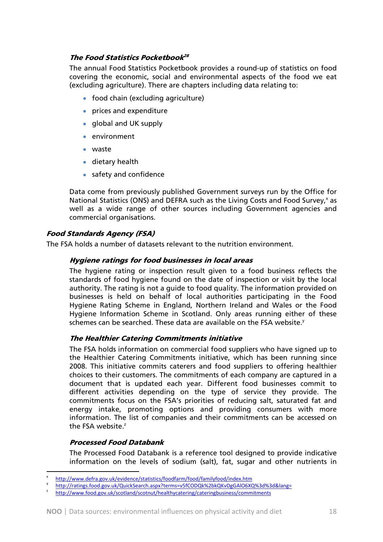# The Food Statistics Pocketbook<sup>28</sup>

The annual Food Statistics Pocketbook provides a round-up of statistics on food covering the economic, social and environmental aspects of the food we eat (excluding agriculture). There are chapters including data relating to:

- food chain (excluding agriculture)
- prices and expenditure
- global and UK supply
- environment
- waste
- dietary health
- safety and confidence

Data come from previously published Government surveys run by the Office for National Statistics (ONS) and DEFRA such as the Living Costs and Food Survey,<sup>x</sup> as well as a wide range of other sources including Government agencies and commercial organisations.

# Food Standards Agency (FSA)

The FSA holds a number of datasets relevant to the nutrition environment.

#### Hygiene ratings for food businesses in local areas

The hygiene rating or inspection result given to a food business reflects the standards of food hygiene found on the date of inspection or visit by the local authority. The rating is not a guide to food quality. The information provided on businesses is held on behalf of local authorities participating in the Food Hygiene Rating Scheme in England, Northern Ireland and Wales or the Food Hygiene Information Scheme in Scotland. Only areas running either of these schemes can be searched. These data are available on the FSA website.<sup>y</sup>

#### The Healthier Catering Commitments initiative

The FSA holds information on commercial food suppliers who have signed up to the Healthier Catering Commitments initiative, which has been running since 2008. This initiative commits caterers and food suppliers to offering healthier choices to their customers. The commitments of each company are captured in a document that is updated each year. Different food businesses commit to different activities depending on the type of service they provide. The commitments focus on the FSA's priorities of reducing salt, saturated fat and energy intake, promoting options and providing consumers with more information. The list of companies and their commitments can be accessed on the FSA website. $z$ 

#### Processed Food Databank

 $\overline{a}$ 

The Processed Food Databank is a reference tool designed to provide indicative information on the levels of sodium (salt), fat, sugar and other nutrients in

x

http://www.defra.gov.uk/evidence/statistics/foodfarm/food/familyfood/index.htm<br>http://ratings.food.gov.uk/QuickSearch.aspx?terms=v5fCODQk%2bkQKvDgGAlO6XQ%3d%3d&lang=<br>http://www.food.gov.uk/scotland/scotnut/healthycatering/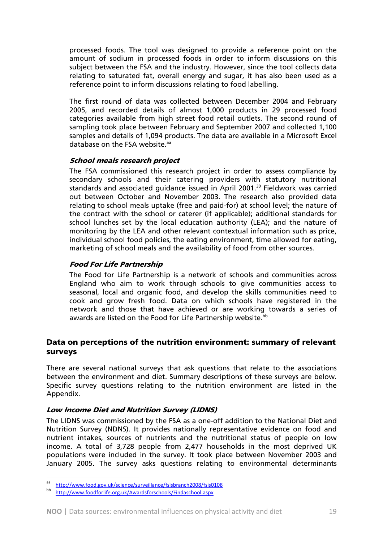processed foods. The tool was designed to provide a reference point on the amount of sodium in processed foods in order to inform discussions on this subject between the FSA and the industry. However, since the tool collects data relating to saturated fat, overall energy and sugar, it has also been used as a reference point to inform discussions relating to food labelling.

The first round of data was collected between December 2004 and February 2005, and recorded details of almost 1,000 products in 29 processed food categories available from high street food retail outlets. The second round of sampling took place between February and September 2007 and collected 1,100 samples and details of 1,094 products. The data are available in a Microsoft Excel database on the FSA website.<sup>aa</sup>

#### School meals research project

The FSA commissioned this research project in order to assess compliance by secondary schools and their catering providers with statutory nutritional standards and associated guidance issued in April 2001.<sup>30</sup> Fieldwork was carried out between October and November 2003. The research also provided data relating to school meals uptake (free and paid-for) at school level; the nature of the contract with the school or caterer (if applicable); additional standards for school lunches set by the local education authority (LEA); and the nature of monitoring by the LEA and other relevant contextual information such as price, individual school food policies, the eating environment, time allowed for eating, marketing of school meals and the availability of food from other sources.

# Food For Life Partnership

The Food for Life Partnership is a network of schools and communities across England who aim to work through schools to give communities access to seasonal, local and organic food, and develop the skills communities need to cook and grow fresh food. Data on which schools have registered in the network and those that have achieved or are working towards a series of awards are listed on the Food for Life Partnership website.<sup>bb</sup>

# Data on perceptions of the nutrition environment: summary of relevant surveys

There are several national surveys that ask questions that relate to the associations between the environment and diet. Summary descriptions of these surveys are below. Specific survey questions relating to the nutrition environment are listed in the Appendix.

# Low Income Diet and Nutrition Survey (LIDNS)

The LIDNS was commissioned by the FSA as a one-off addition to the National Diet and Nutrition Survey (NDNS). It provides nationally representative evidence on food and nutrient intakes, sources of nutrients and the nutritional status of people on low income. A total of 3,728 people from 2,477 households in the most deprived UK populations were included in the survey. It took place between November 2003 and January 2005. The survey asks questions relating to environmental determinants

http://www.food.gov.uk/science/surveillance/fsisbranch2008/fsis0108

bb http://www.foodforlife.org.uk/Awardsforschools/Findaschool.aspx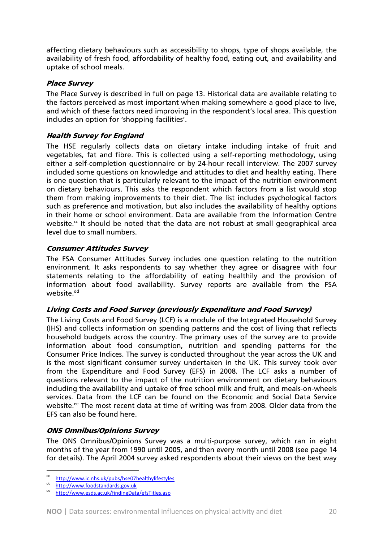affecting dietary behaviours such as accessibility to shops, type of shops available, the availability of fresh food, affordability of healthy food, eating out, and availability and uptake of school meals.

# Place Survey

The Place Survey is described in full on page 13. Historical data are available relating to the factors perceived as most important when making somewhere a good place to live, and which of these factors need improving in the respondent's local area. This question includes an option for 'shopping facilities'.

# Health Survey for England

The HSE regularly collects data on dietary intake including intake of fruit and vegetables, fat and fibre. This is collected using a self-reporting methodology, using either a self-completion questionnaire or by 24-hour recall interview. The 2007 survey included some questions on knowledge and attitudes to diet and healthy eating. There is one question that is particularly relevant to the impact of the nutrition environment on dietary behaviours. This asks the respondent which factors from a list would stop them from making improvements to their diet. The list includes psychological factors such as preference and motivation, but also includes the availability of healthy options in their home or school environment. Data are available from the Information Centre website. $\alpha$  It should be noted that the data are not robust at small geographical area level due to small numbers.

#### Consumer Attitudes Survey

The FSA Consumer Attitudes Survey includes one question relating to the nutrition environment. It asks respondents to say whether they agree or disagree with four statements relating to the affordability of eating healthily and the provision of information about food availability. Survey reports are available from the FSA website.<sup>dd</sup>

# Living Costs and Food Survey (previously Expenditure and Food Survey)

The Living Costs and Food Survey (LCF) is a module of the Integrated Household Survey (IHS) and collects information on spending patterns and the cost of living that reflects household budgets across the country. The primary uses of the survey are to provide information about food consumption, nutrition and spending patterns for the Consumer Price Indices. The survey is conducted throughout the year across the UK and is the most significant consumer survey undertaken in the UK. This survey took over from the Expenditure and Food Survey (EFS) in 2008. The LCF asks a number of questions relevant to the impact of the nutrition environment on dietary behaviours including the availability and uptake of free school milk and fruit, and meals-on-wheels services. Data from the LCF can be found on the Economic and Social Data Service website.<sup>ee</sup> The most recent data at time of writing was from 2008. Older data from the EFS can also be found here.

# ONS Omnibus/Opinions Survey

The ONS Omnibus/Opinions Survey was a multi-purpose survey, which ran in eight months of the year from 1990 until 2005, and then every month until 2008 (see page 14 for details). The April 2004 survey asked respondents about their views on the best way

cc http://www.ic.nhs.uk/pubs/hse07healthylifestyles<br>dd http://www.foodstandards.gov.uk<br>ee http://www.esds.ac.uk/findingData/efsTitles.asp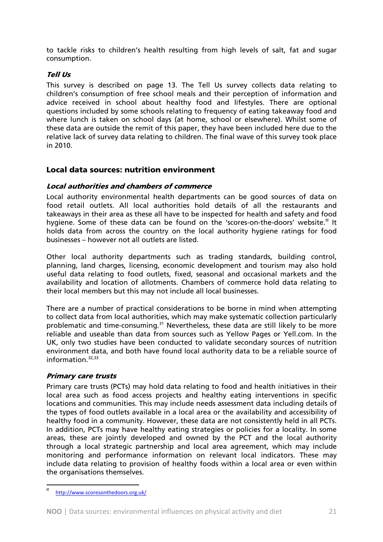to tackle risks to children's health resulting from high levels of salt, fat and sugar consumption.

# Tell Us

This survey is described on page 13. The Tell Us survey collects data relating to children's consumption of free school meals and their perception of information and advice received in school about healthy food and lifestyles. There are optional questions included by some schools relating to frequency of eating takeaway food and where lunch is taken on school days (at home, school or elsewhere). Whilst some of these data are outside the remit of this paper, they have been included here due to the relative lack of survey data relating to children. The final wave of this survey took place in 2010.

# Local data sources: nutrition environment

#### Local authorities and chambers of commerce

Local authority environmental health departments can be good sources of data on food retail outlets. All local authorities hold details of all the restaurants and takeaways in their area as these all have to be inspected for health and safety and food hygiene. Some of these data can be found on the 'scores-on-the-doors' website.<sup>ff</sup> It holds data from across the country on the local authority hygiene ratings for food businesses – however not all outlets are listed.

Other local authority departments such as trading standards, building control, planning, land charges, licensing, economic development and tourism may also hold useful data relating to food outlets, fixed, seasonal and occasional markets and the availability and location of allotments. Chambers of commerce hold data relating to their local members but this may not include all local businesses.

There are a number of practical considerations to be borne in mind when attempting to collect data from local authorities, which may make systematic collection particularly problematic and time-consuming.<sup>31</sup> Nevertheless, these data are still likely to be more reliable and useable than data from sources such as Yellow Pages or Yell.com. In the UK, only two studies have been conducted to validate secondary sources of nutrition environment data, and both have found local authority data to be a reliable source of information $32,33$ 

# Primary care trusts

Primary care trusts (PCTs) may hold data relating to food and health initiatives in their local area such as food access projects and healthy eating interventions in specific locations and communities. This may include needs assessment data including details of the types of food outlets available in a local area or the availability and accessibility of healthy food in a community. However, these data are not consistently held in all PCTs. In addition, PCTs may have healthy eating strategies or policies for a locality. In some areas, these are jointly developed and owned by the PCT and the local authority through a local strategic partnership and local area agreement, which may include monitoring and performance information on relevant local indicators. These may include data relating to provision of healthy foods within a local area or even within the organisations themselves.

 ff http://www.scoresonthedoors.org.uk/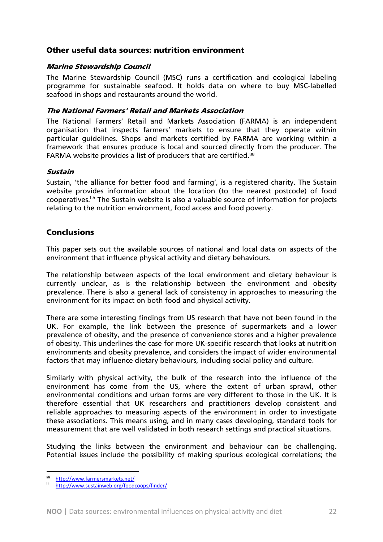# Other useful data sources: nutrition environment

#### Marine Stewardship Council

The Marine Stewardship Council (MSC) runs a certification and ecological labeling programme for sustainable seafood. It holds data on where to buy MSC-labelled seafood in shops and restaurants around the world.

#### The National Farmers' Retail and Markets Association

The National Farmers' Retail and Markets Association (FARMA) is an independent organisation that inspects farmers' markets to ensure that they operate within particular guidelines. Shops and markets certified by FARMA are working within a framework that ensures produce is local and sourced directly from the producer. The FARMA website provides a list of producers that are certified.<sup>99</sup>

#### Sustain

Sustain, 'the alliance for better food and farming', is a registered charity. The Sustain website provides information about the location (to the nearest postcode) of food cooperatives.<sup>hh</sup> The Sustain website is also a valuable source of information for projects relating to the nutrition environment, food access and food poverty.

# Conclusions

This paper sets out the available sources of national and local data on aspects of the environment that influence physical activity and dietary behaviours.

The relationship between aspects of the local environment and dietary behaviour is currently unclear, as is the relationship between the environment and obesity prevalence. There is also a general lack of consistency in approaches to measuring the environment for its impact on both food and physical activity.

There are some interesting findings from US research that have not been found in the UK. For example, the link between the presence of supermarkets and a lower prevalence of obesity, and the presence of convenience stores and a higher prevalence of obesity. This underlines the case for more UK-specific research that looks at nutrition environments and obesity prevalence, and considers the impact of wider environmental factors that may influence dietary behaviours, including social policy and culture.

Similarly with physical activity, the bulk of the research into the influence of the environment has come from the US, where the extent of urban sprawl, other environmental conditions and urban forms are very different to those in the UK. It is therefore essential that UK researchers and practitioners develop consistent and reliable approaches to measuring aspects of the environment in order to investigate these associations. This means using, and in many cases developing, standard tools for measurement that are well validated in both research settings and practical situations.

Studying the links between the environment and behaviour can be challenging. Potential issues include the possibility of making spurious ecological correlations; the

 $rac{\text{B}}{\text{h}}$  http://www.farmersmarkets.net/<br>
hh http://www.sustainweb.org/foodcoops/finder/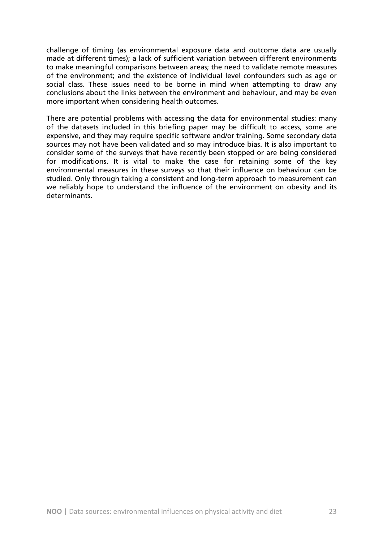challenge of timing (as environmental exposure data and outcome data are usually made at different times); a lack of sufficient variation between different environments to make meaningful comparisons between areas; the need to validate remote measures of the environment; and the existence of individual level confounders such as age or social class. These issues need to be borne in mind when attempting to draw any conclusions about the links between the environment and behaviour, and may be even more important when considering health outcomes.

There are potential problems with accessing the data for environmental studies: many of the datasets included in this briefing paper may be difficult to access, some are expensive, and they may require specific software and/or training. Some secondary data sources may not have been validated and so may introduce bias. It is also important to consider some of the surveys that have recently been stopped or are being considered for modifications. It is vital to make the case for retaining some of the key environmental measures in these surveys so that their influence on behaviour can be studied. Only through taking a consistent and long-term approach to measurement can we reliably hope to understand the influence of the environment on obesity and its determinants.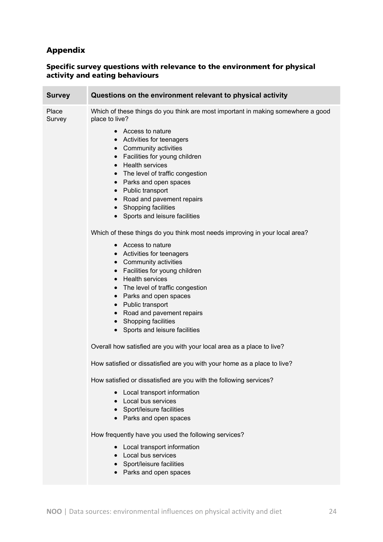# Appendix

#### Specific survey questions with relevance to the environment for physical activity and eating behaviours

| Survey          | Questions on the environment relevant to physical activity                                                                                                                                                                                                                                                    |
|-----------------|---------------------------------------------------------------------------------------------------------------------------------------------------------------------------------------------------------------------------------------------------------------------------------------------------------------|
| Place<br>Survey | Which of these things do you think are most important in making somewhere a good<br>place to live?<br>• Access to nature<br>• Activities for teenagers                                                                                                                                                        |
|                 | Community activities<br>$\bullet$<br>Facilities for young children<br>$\bullet$<br>• Health services<br>• The level of traffic congestion<br>• Parks and open spaces<br>• Public transport<br>Road and pavement repairs<br>$\bullet$                                                                          |
|                 | • Shopping facilities<br>• Sports and leisure facilities                                                                                                                                                                                                                                                      |
|                 | Which of these things do you think most needs improving in your local area?                                                                                                                                                                                                                                   |
|                 | • Access to nature<br>• Activities for teenagers<br>• Community activities<br>• Facilities for young children<br><b>Health services</b><br>$\bullet$<br>• The level of traffic congestion<br>Parks and open spaces<br>$\bullet$<br>• Public transport<br>• Road and pavement repairs<br>• Shopping facilities |
|                 | • Sports and leisure facilities                                                                                                                                                                                                                                                                               |
|                 | Overall how satisfied are you with your local area as a place to live?                                                                                                                                                                                                                                        |
|                 | How satisfied or dissatisfied are you with your home as a place to live?                                                                                                                                                                                                                                      |
|                 | How satisfied or dissatisfied are you with the following services?<br>Local transport information<br>• Local bus services<br>• Sport/leisure facilities<br>• Parks and open spaces                                                                                                                            |
|                 | How frequently have you used the following services?                                                                                                                                                                                                                                                          |
|                 | Local transport information<br>Local bus services<br>• Sport/leisure facilities<br>Parks and open spaces                                                                                                                                                                                                      |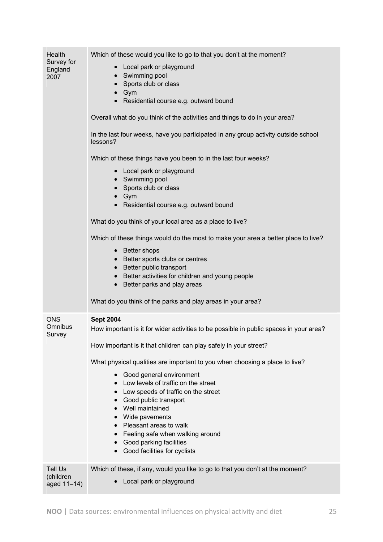| Health<br>Survey for<br>England<br>2007    | Which of these would you like to go to that you don't at the moment?<br>• Local park or playground<br>Swimming pool<br>Sports club or class<br>Gym<br>• Residential course e.g. outward bound<br>Overall what do you think of the activities and things to do in your area?<br>In the last four weeks, have you participated in any group activity outside school<br>lessons?<br>Which of these things have you been to in the last four weeks?<br>• Local park or playground<br>• Swimming pool<br>Sports club or class<br>$\bullet$ Gym<br>Residential course e.g. outward bound<br>What do you think of your local area as a place to live?<br>Which of these things would do the most to make your area a better place to live?<br>• Better shops<br>• Better sports clubs or centres<br>• Better public transport<br>• Better activities for children and young people<br>• Better parks and play areas<br>What do you think of the parks and play areas in your area? |
|--------------------------------------------|-----------------------------------------------------------------------------------------------------------------------------------------------------------------------------------------------------------------------------------------------------------------------------------------------------------------------------------------------------------------------------------------------------------------------------------------------------------------------------------------------------------------------------------------------------------------------------------------------------------------------------------------------------------------------------------------------------------------------------------------------------------------------------------------------------------------------------------------------------------------------------------------------------------------------------------------------------------------------------|
| <b>ONS</b><br>Omnibus<br>Survey            | <b>Sept 2004</b><br>How important is it for wider activities to be possible in public spaces in your area?<br>How important is it that children can play safely in your street?<br>What physical qualities are important to you when choosing a place to live?<br>Good general environment<br>Low levels of traffic on the street<br>$\bullet$<br>• Low speeds of traffic on the street<br>Good public transport<br>Well maintained<br>Wide pavements<br>• Pleasant areas to walk<br>• Feeling safe when walking around<br>Good parking facilities<br>Good facilities for cyclists                                                                                                                                                                                                                                                                                                                                                                                          |
| <b>Tell Us</b><br>(children<br>aged 11-14) | Which of these, if any, would you like to go to that you don't at the moment?<br>Local park or playground                                                                                                                                                                                                                                                                                                                                                                                                                                                                                                                                                                                                                                                                                                                                                                                                                                                                   |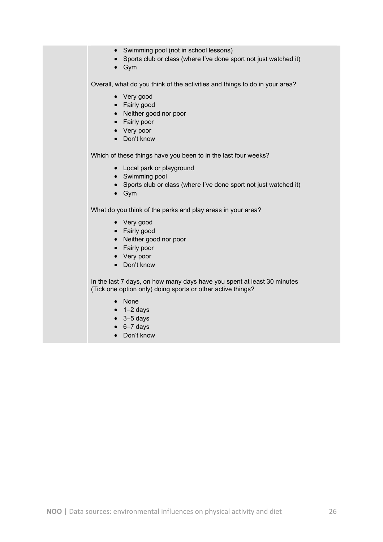- Swimming pool (not in school lessons)
- Sports club or class (where I've done sport not just watched it)
- Gym

Overall, what do you think of the activities and things to do in your area?

- Very good
- Fairly good
- Neither good nor poor
- Fairly poor
- Very poor
- Don't know

Which of these things have you been to in the last four weeks?

- Local park or playground
- Swimming pool
- Sports club or class (where I've done sport not just watched it)
- Gym

What do you think of the parks and play areas in your area?

- Very good
- Fairly good
- Neither good nor poor
- Fairly poor
- Very poor
- Don't know

In the last 7 days, on how many days have you spent at least 30 minutes (Tick one option only) doing sports or other active things?

- None
- $\bullet$  1–2 days
- $\bullet$  3-5 days
- $\bullet$  6-7 days
- Don't know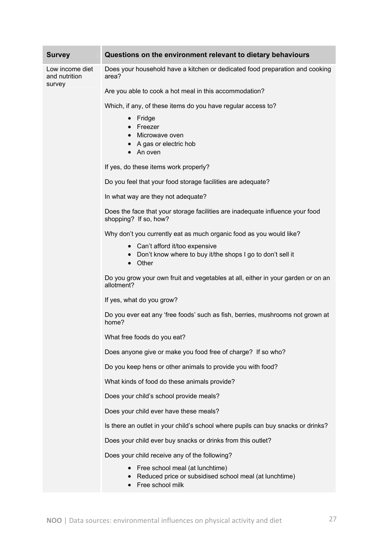| <b>Survey</b>                              | Questions on the environment relevant to dietary behaviours                                                         |
|--------------------------------------------|---------------------------------------------------------------------------------------------------------------------|
| Low income diet<br>and nutrition<br>survey | Does your household have a kitchen or dedicated food preparation and cooking<br>area?                               |
|                                            | Are you able to cook a hot meal in this accommodation?                                                              |
|                                            | Which, if any, of these items do you have regular access to?                                                        |
|                                            | Fridge<br>$\bullet$<br>Freezer<br>$\bullet$<br>• Microwave oven<br>• A gas or electric hob<br>An oven               |
|                                            | If yes, do these items work properly?                                                                               |
|                                            | Do you feel that your food storage facilities are adequate?                                                         |
|                                            | In what way are they not adequate?                                                                                  |
|                                            | Does the face that your storage facilities are inadequate influence your food<br>shopping? If so, how?              |
|                                            | Why don't you currently eat as much organic food as you would like?                                                 |
|                                            | Can't afford it/too expensive<br>$\bullet$<br>Don't know where to buy it/the shops I go to don't sell it<br>• Other |
|                                            | Do you grow your own fruit and vegetables at all, either in your garden or on an<br>allotment?                      |
|                                            | If yes, what do you grow?                                                                                           |
|                                            | Do you ever eat any 'free foods' such as fish, berries, mushrooms not grown at<br>home?                             |
|                                            | What free foods do you eat?                                                                                         |
|                                            | Does anyone give or make you food free of charge? If so who?                                                        |
|                                            | Do you keep hens or other animals to provide you with food?                                                         |
|                                            | What kinds of food do these animals provide?                                                                        |
|                                            | Does your child's school provide meals?                                                                             |
|                                            | Does your child ever have these meals?                                                                              |
|                                            | Is there an outlet in your child's school where pupils can buy snacks or drinks?                                    |
|                                            | Does your child ever buy snacks or drinks from this outlet?                                                         |
|                                            | Does your child receive any of the following?                                                                       |
|                                            | Free school meal (at lunchtime)<br>Reduced price or subsidised school meal (at lunchtime)                           |

• Free school milk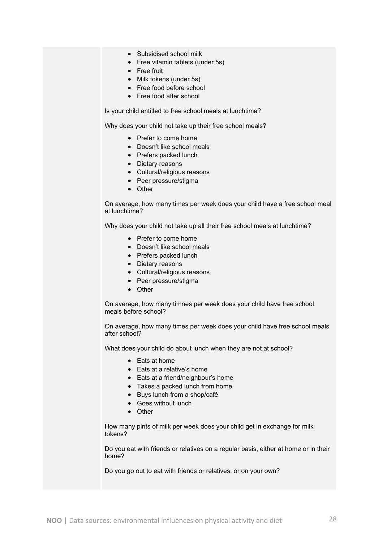- Subsidised school milk
- Free vitamin tablets (under 5s)
- Free fruit
- Milk tokens (under 5s)
- Free food before school
- Free food after school

Is your child entitled to free school meals at lunchtime?

Why does your child not take up their free school meals?

- Prefer to come home
- Doesn't like school meals
- Prefers packed lunch
- Dietary reasons
- Cultural/religious reasons
- Peer pressure/stigma
- Other

On average, how many times per week does your child have a free school meal at lunchtime?

Why does your child not take up all their free school meals at lunchtime?

- Prefer to come home
- Doesn't like school meals
- Prefers packed lunch
- Dietary reasons
- Cultural/religious reasons
- Peer pressure/stigma
- Other

On average, how many timnes per week does your child have free school meals before school?

On average, how many times per week does your child have free school meals after school?

What does your child do about lunch when they are not at school?

- Eats at home
- Eats at a relative's home
- Eats at a friend/neighbour's home
- Takes a packed lunch from home
- Buys lunch from a shop/café
- Goes without lunch
- Other

How many pints of milk per week does your child get in exchange for milk tokens?

Do you eat with friends or relatives on a regular basis, either at home or in their home?

Do you go out to eat with friends or relatives, or on your own?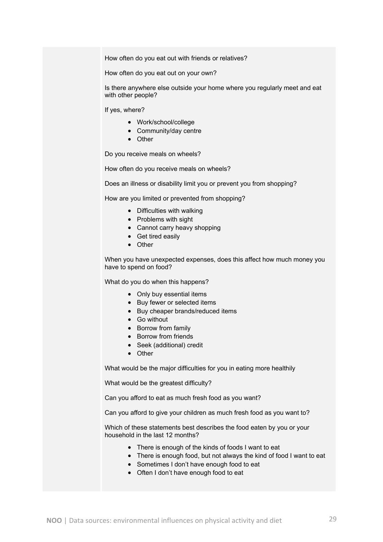How often do you eat out with friends or relatives?

How often do you eat out on your own?

Is there anywhere else outside your home where you regularly meet and eat with other people?

If yes, where?

- Work/school/college
- Community/day centre
- Other

Do you receive meals on wheels?

How often do you receive meals on wheels?

Does an illness or disability limit you or prevent you from shopping?

How are you limited or prevented from shopping?

- Difficulties with walking
- Problems with sight
- Cannot carry heavy shopping
- Get tired easily
- Other

When you have unexpected expenses, does this affect how much money you have to spend on food?

What do you do when this happens?

- Only buy essential items
- Buy fewer or selected items
- Buy cheaper brands/reduced items
- Go without
- Borrow from family
- Borrow from friends
- Seek (additional) credit
- Other

What would be the major difficulties for you in eating more healthily

What would be the greatest difficulty?

Can you afford to eat as much fresh food as you want?

Can you afford to give your children as much fresh food as you want to?

Which of these statements best describes the food eaten by you or your household in the last 12 months?

- There is enough of the kinds of foods I want to eat
- There is enough food, but not always the kind of food I want to eat
- Sometimes I don't have enough food to eat
- Often I don't have enough food to eat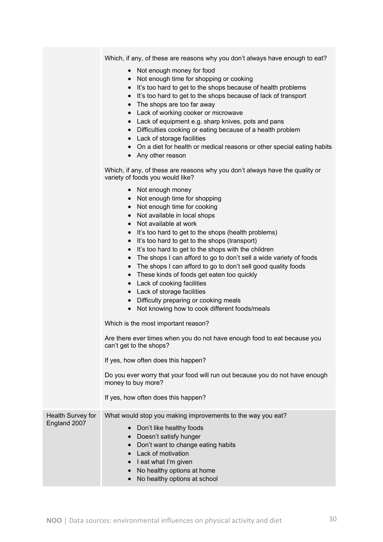Which, if any, of these are reasons why you don't always have enough to eat?

- Not enough money for food
- Not enough time for shopping or cooking
- It's too hard to get to the shops because of health problems
- It's too hard to get to the shops because of lack of transport
- The shops are too far away
- Lack of working cooker or microwave
- Lack of equipment e.g. sharp knives, pots and pans
- Difficulties cooking or eating because of a health problem
- Lack of storage facilities
- On a diet for health or medical reasons or other special eating habits
- Any other reason

Which, if any, of these are reasons why you don't always have the quality or variety of foods you would like?

• Not enough money • Not enough time for shopping • Not enough time for cooking • Not available in local shops • Not available at work • It's too hard to get to the shops (health problems) • It's too hard to get to the shops (transport) • It's too hard to get to the shops with the children • The shops I can afford to go to don't sell a wide variety of foods • The shops I can afford to go to don't sell good quality foods • These kinds of foods get eaten too quickly • Lack of cooking facilities • Lack of storage facilities • Difficulty preparing or cooking meals • Not knowing how to cook different foods/meals Which is the most important reason? Are there ever times when you do not have enough food to eat because you can't get to the shops? If yes, how often does this happen? Do you ever worry that your food will run out because you do not have enough money to buy more? If yes, how often does this happen? Health Survey for England 2007 What would stop you making improvements to the way you eat? • Don't like healthy foods • Doesn't satisfy hunger • Don't want to change eating habits • Lack of motivation • Leat what I'm given • No healthy options at home • No healthy options at school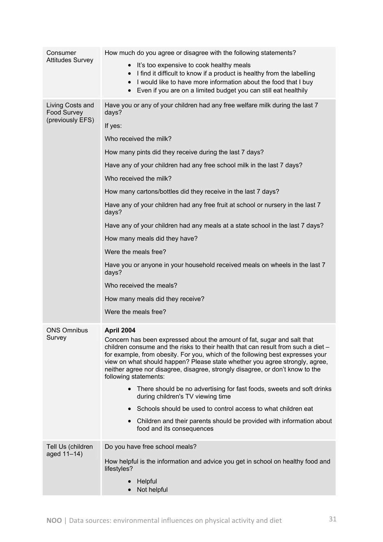| Consumer<br><b>Attitudes Survey</b>                        | How much do you agree or disagree with the following statements?                                                                                                                                                                                                                                                                                                                                                                                      |
|------------------------------------------------------------|-------------------------------------------------------------------------------------------------------------------------------------------------------------------------------------------------------------------------------------------------------------------------------------------------------------------------------------------------------------------------------------------------------------------------------------------------------|
|                                                            | It's too expensive to cook healthy meals<br>I find it difficult to know if a product is healthy from the labelling<br>$\bullet$<br>I would like to have more information about the food that I buy<br>Even if you are on a limited budget you can still eat healthily                                                                                                                                                                                 |
| Living Costs and<br><b>Food Survey</b><br>(previously EFS) | Have you or any of your children had any free welfare milk during the last 7<br>days?                                                                                                                                                                                                                                                                                                                                                                 |
|                                                            | If yes:                                                                                                                                                                                                                                                                                                                                                                                                                                               |
|                                                            | Who received the milk?                                                                                                                                                                                                                                                                                                                                                                                                                                |
|                                                            | How many pints did they receive during the last 7 days?                                                                                                                                                                                                                                                                                                                                                                                               |
|                                                            | Have any of your children had any free school milk in the last 7 days?                                                                                                                                                                                                                                                                                                                                                                                |
|                                                            | Who received the milk?                                                                                                                                                                                                                                                                                                                                                                                                                                |
|                                                            | How many cartons/bottles did they receive in the last 7 days?                                                                                                                                                                                                                                                                                                                                                                                         |
|                                                            | Have any of your children had any free fruit at school or nursery in the last 7<br>days?                                                                                                                                                                                                                                                                                                                                                              |
|                                                            | Have any of your children had any meals at a state school in the last 7 days?                                                                                                                                                                                                                                                                                                                                                                         |
|                                                            | How many meals did they have?                                                                                                                                                                                                                                                                                                                                                                                                                         |
|                                                            | Were the meals free?                                                                                                                                                                                                                                                                                                                                                                                                                                  |
|                                                            | Have you or anyone in your household received meals on wheels in the last 7<br>days?                                                                                                                                                                                                                                                                                                                                                                  |
|                                                            | Who received the meals?                                                                                                                                                                                                                                                                                                                                                                                                                               |
|                                                            | How many meals did they receive?                                                                                                                                                                                                                                                                                                                                                                                                                      |
|                                                            | Were the meals free?                                                                                                                                                                                                                                                                                                                                                                                                                                  |
| <b>ONS Omnibus</b><br>Survey                               | April 2004<br>Concern has been expressed about the amount of fat, sugar and salt that<br>children consume and the risks to their health that can result from such a diet -<br>for example, from obesity. For you, which of the following best expresses your<br>view on what should happen? Please state whether you agree strongly, agree,<br>neither agree nor disagree, disagree, strongly disagree, or don't know to the<br>following statements: |
|                                                            | • There should be no advertising for fast foods, sweets and soft drinks<br>during children's TV viewing time                                                                                                                                                                                                                                                                                                                                          |
|                                                            | • Schools should be used to control access to what children eat                                                                                                                                                                                                                                                                                                                                                                                       |
|                                                            | Children and their parents should be provided with information about<br>food and its consequences                                                                                                                                                                                                                                                                                                                                                     |
| Tell Us (children                                          | Do you have free school meals?                                                                                                                                                                                                                                                                                                                                                                                                                        |
| aged 11-14)                                                | How helpful is the information and advice you get in school on healthy food and<br>lifestyles?                                                                                                                                                                                                                                                                                                                                                        |
|                                                            | Helpful<br>Not helpful                                                                                                                                                                                                                                                                                                                                                                                                                                |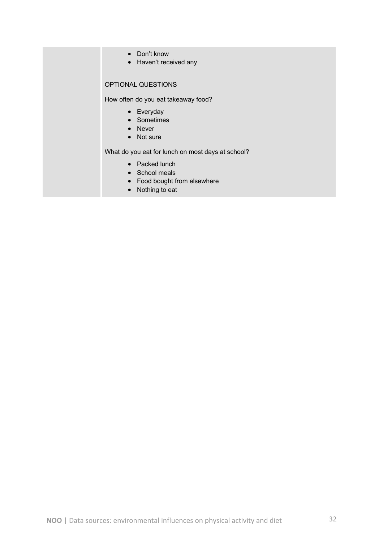- Don't know
- Haven't received any

#### OPTIONAL QUESTIONS

How often do you eat takeaway food?

- Everyday
- Sometimes
- Never
- Not sure

What do you eat for lunch on most days at school?

- Packed lunch
- School meals
- Food bought from elsewhere
- Nothing to eat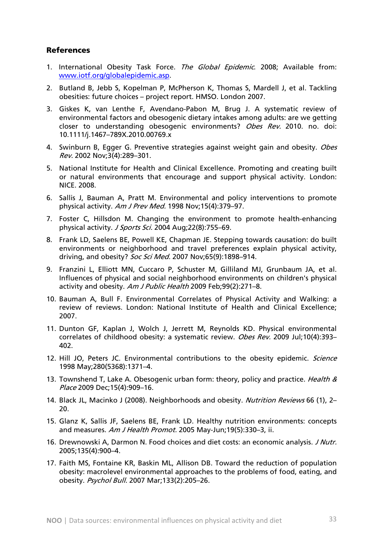# References

- 1. International Obesity Task Force. The Global Epidemic. 2008; Available from: www.iotf.org/globalepidemic.asp.
- 2. Butland B, Jebb S, Kopelman P, McPherson K, Thomas S, Mardell J, et al. Tackling obesities: future choices – project report. HMSO. London 2007.
- 3. Giskes K, van Lenthe F, Avendano-Pabon M, Brug J. A systematic review of environmental factors and obesogenic dietary intakes among adults: are we getting closer to understanding obesogenic environments? Obes Rev. 2010. no. doi: 10.1111/j.1467–789X.2010.00769.x
- 4. Swinburn B, Egger G. Preventive strategies against weight gain and obesity. Obes Rev. 2002 Nov;3(4):289–301.
- 5. National Institute for Health and Clinical Excellence. Promoting and creating built or natural environments that encourage and support physical activity. London: NICE. 2008.
- 6. Sallis J, Bauman A, Pratt M. Environmental and policy interventions to promote physical activity. Am J Prev Med. 1998 Nov;15(4):379–97.
- 7. Foster C, Hillsdon M. Changing the environment to promote health-enhancing physical activity. J Sports Sci. 2004 Aug;22(8):755–69.
- 8. Frank LD, Saelens BE, Powell KE, Chapman JE. Stepping towards causation: do built environments or neighborhood and travel preferences explain physical activity, driving, and obesity? Soc Sci Med. 2007 Nov;65(9):1898-914.
- 9. Franzini L, Elliott MN, Cuccaro P, Schuster M, Gilliland MJ, Grunbaum JA, et al. Influences of physical and social neighborhood environments on children's physical activity and obesity. Am J Public Health 2009 Feb;99(2):271-8.
- 10. Bauman A, Bull F. Environmental Correlates of Physical Activity and Walking: a review of reviews. London: National Institute of Health and Clinical Excellence; 2007.
- 11. Dunton GF, Kaplan J, Wolch J, Jerrett M, Reynolds KD. Physical environmental correlates of childhood obesity: a systematic review. Obes Rev. 2009 Jul;10(4):393-402.
- 12. Hill JO, Peters JC. Environmental contributions to the obesity epidemic. *Science* 1998 May;280(5368):1371–4.
- 13. Townshend T, Lake A. Obesogenic urban form: theory, policy and practice. *Health &* Place 2009 Dec;15(4):909–16.
- 14. Black JL, Macinko J (2008). Neighborhoods and obesity. Nutrition Reviews 66 (1), 2-20.
- 15. Glanz K, Sallis JF, Saelens BE, Frank LD. Healthy nutrition environments: concepts and measures. Am J Health Promot. 2005 May-Jun;19(5):330–3, ii.
- 16. Drewnowski A, Darmon N. Food choices and diet costs: an economic analysis. *J Nutr.* 2005;135(4):900–4.
- 17. Faith MS, Fontaine KR, Baskin ML, Allison DB. Toward the reduction of population obesity: macrolevel environmental approaches to the problems of food, eating, and obesity. Psychol Bull. 2007 Mar;133(2):205–26.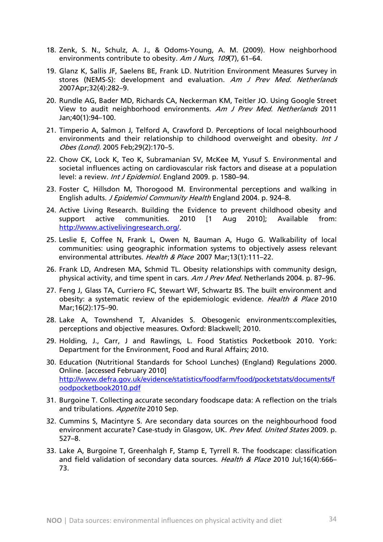- 18. Zenk, S. N., Schulz, A. J., & Odoms-Young, A. M. (2009). How neighborhood environments contribute to obesity. Am J Nurs, 109(7), 61-64.
- 19. Glanz K, Sallis JF, Saelens BE, Frank LD. Nutrition Environment Measures Survey in stores (NEMS-S): development and evaluation. Am J Prev Med. Netherlands 2007Apr;32(4):282–9.
- 20. Rundle AG, Bader MD, Richards CA, Neckerman KM, Teitler JO. Using Google Street View to audit neighborhood environments. Am J Prev Med. Netherlands 2011 Jan;40(1):94–100.
- 21. Timperio A, Salmon J, Telford A, Crawford D. Perceptions of local neighbourhood environments and their relationship to childhood overweight and obesity. Int J Obes (Lond). 2005 Feb;29(2):170–5.
- 22. Chow CK, Lock K, Teo K, Subramanian SV, McKee M, Yusuf S. Environmental and societal influences acting on cardiovascular risk factors and disease at a population level: a review. Int J Epidemiol. England 2009. p. 1580-94.
- 23. Foster C, Hillsdon M, Thorogood M. Environmental perceptions and walking in English adults. J Epidemiol Community Health England 2004. p. 924–8.
- 24. Active Living Research. Building the Evidence to prevent childhood obesity and support active communities. 2010 [1 Aug 2010]; Available from: http://www.activelivingresearch.org/.
- 25. Leslie E, Coffee N, Frank L, Owen N, Bauman A, Hugo G. Walkability of local communities: using geographic information systems to objectively assess relevant environmental attributes. Health & Place 2007 Mar;13(1):111-22.
- 26. Frank LD, Andresen MA, Schmid TL. Obesity relationships with community design, physical activity, and time spent in cars. Am J Prev Med. Netherlands 2004. p. 87–96.
- 27. Feng J, Glass TA, Curriero FC, Stewart WF, Schwartz BS. The built environment and obesity: a systematic review of the epidemiologic evidence. Health & Place 2010 Mar;16(2):175–90.
- 28. Lake A, Townshend T, Alvanides S. Obesogenic environments:complexities, perceptions and objective measures. Oxford: Blackwell; 2010.
- 29. Holding, J., Carr, J and Rawlings, L. Food Statistics Pocketbook 2010. York: Department for the Environment, Food and Rural Affairs; 2010.
- 30. Education (Nutritional Standards for School Lunches) (England) Regulations 2000. Online. [accessed February 2010] http://www.defra.gov.uk/evidence/statistics/foodfarm/food/pocketstats/documents/f oodpocketbook2010.pdf
- 31. Burgoine T. Collecting accurate secondary foodscape data: A reflection on the trials and tribulations. Appetite 2010 Sep.
- 32. Cummins S, Macintyre S. Are secondary data sources on the neighbourhood food environment accurate? Case-study in Glasgow, UK. Prev Med. United States 2009. p. 527–8.
- 33. Lake A, Burgoine T, Greenhalgh F, Stamp E, Tyrrell R. The foodscape: classification and field validation of secondary data sources. Health & Place 2010 Jul;16(4):666-73.